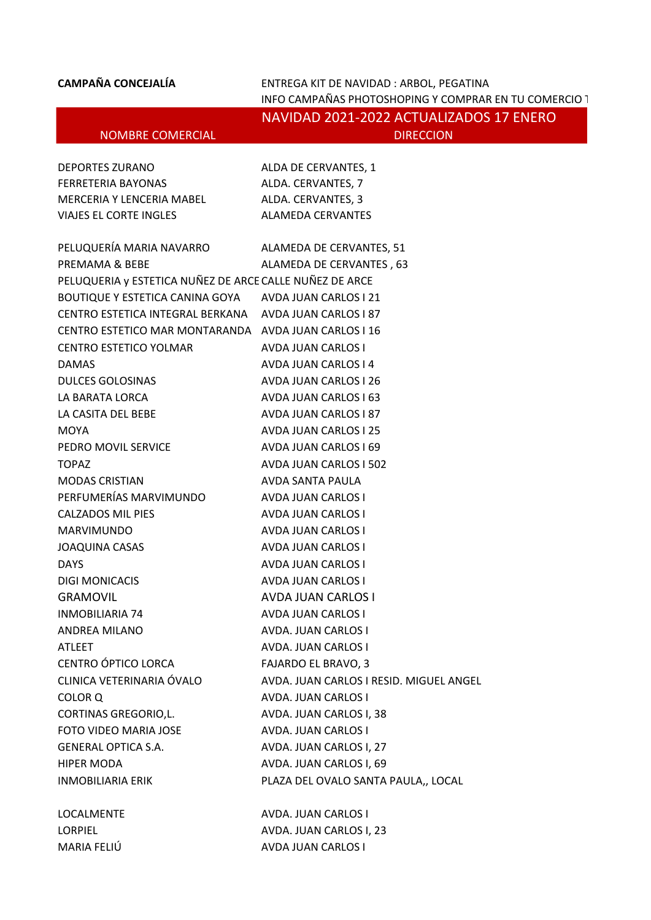**CAMPAÑA CONCEJALÍA** ENTREGA KIT DE NAVIDAD : ARBOL, PEGATINA INFO CAMPAÑAS PHOTOSHOPING Y COMPRAR EN TU COMERCIO 1

NAVIDAD 2021-2022 ACTUALIZADOS 17 ENERO NOMBRE COMERCIAL DIRECCION

> ALDA DE CERVANTES, 1 ALDA. CERVANTES, 7 ALDA. CERVANTES, 3 ALAMEDA CERVANTES

| <b>DEPORTES ZURANO</b>    |
|---------------------------|
| FERRETERIA BAYONAS        |
| MERCERIA Y LENCERIA MABEL |
| VIAJES EL CORTE INGLES    |

| PELUQUERÍA MARIA NAVARRO                                | ALAMEDA DE CERVANTES, 51                |
|---------------------------------------------------------|-----------------------------------------|
| PREMAMA & BEBE                                          | ALAMEDA DE CERVANTES, 63                |
| PELUQUERIA y ESTETICA NUÑEZ DE ARCE CALLE NUÑEZ DE ARCE |                                         |
| BOUTIQUE Y ESTETICA CANINA GOYA AVDA JUAN CARLOS I 21   |                                         |
| CENTRO ESTETICA INTEGRAL BERKANA AVDA JUAN CARLOS I 87  |                                         |
| CENTRO ESTETICO MAR MONTARANDA AVDA JUAN CARLOS I 16    |                                         |
| CENTRO ESTETICO YOLMAR                                  | AVDA JUAN CARLOS I                      |
| <b>DAMAS</b>                                            | AVDA JUAN CARLOS I 4                    |
| <b>DULCES GOLOSINAS</b>                                 | AVDA JUAN CARLOS I 26                   |
| LA BARATA LORCA                                         | AVDA JUAN CARLOS I 63                   |
| LA CASITA DEL BEBE                                      | AVDA JUAN CARLOS I 87                   |
| <b>MOYA</b>                                             | AVDA JUAN CARLOS I 25                   |
| PEDRO MOVIL SERVICE                                     | AVDA JUAN CARLOS I 69                   |
| <b>TOPAZ</b>                                            | AVDA JUAN CARLOS I 502                  |
| <b>MODAS CRISTIAN</b>                                   | AVDA SANTA PAULA                        |
| PERFUMERÍAS MARVIMUNDO                                  | AVDA JUAN CARLOS I                      |
| <b>CALZADOS MIL PIES</b>                                | AVDA JUAN CARLOS I                      |
| <b>MARVIMUNDO</b>                                       | AVDA JUAN CARLOS I                      |
| <b>JOAQUINA CASAS</b>                                   | AVDA JUAN CARLOS I                      |
| <b>DAYS</b>                                             | AVDA JUAN CARLOS I                      |
| DIGI MONICACIS                                          | AVDA JUAN CARLOS I                      |
| <b>GRAMOVIL</b>                                         | <b>AVDA JUAN CARLOS I</b>               |
| <b>INMOBILIARIA 74</b>                                  | AVDA JUAN CARLOS I                      |
| ANDREA MILANO                                           | AVDA. JUAN CARLOS I                     |
| ATLEET                                                  | AVDA. JUAN CARLOS I                     |
| CENTRO ÓPTICO LORCA                                     | FAJARDO EL BRAVO, 3                     |
| CLINICA VETERINARIA OVALO                               | AVDA. JUAN CARLOS I RESID. MIGUEL ANGEL |
| COLOR <sub>Q</sub>                                      | AVDA. JUAN CARLOS I                     |
| CORTINAS GREGORIO,L.                                    | AVDA. JUAN CARLOS I, 38                 |
| FOTO VIDEO MARIA JOSE                                   | AVDA. JUAN CARLOS I                     |
| <b>GENERAL OPTICA S.A.</b>                              | AVDA. JUAN CARLOS I, 27                 |
| <b>HIPER MODA</b>                                       | AVDA. JUAN CARLOS I, 69                 |
| <b>INMOBILIARIA ERIK</b>                                | PLAZA DEL OVALO SANTA PAULA,, LOCAL     |
| <b>LOCALMENTE</b>                                       | <b>AVDA. JUAN CARLOS I</b>              |
| <b>LORPIEL</b>                                          | AVDA. JUAN CARLOS I, 23                 |

MARIA FELIÚ **AVDA JUAN CARLOS I**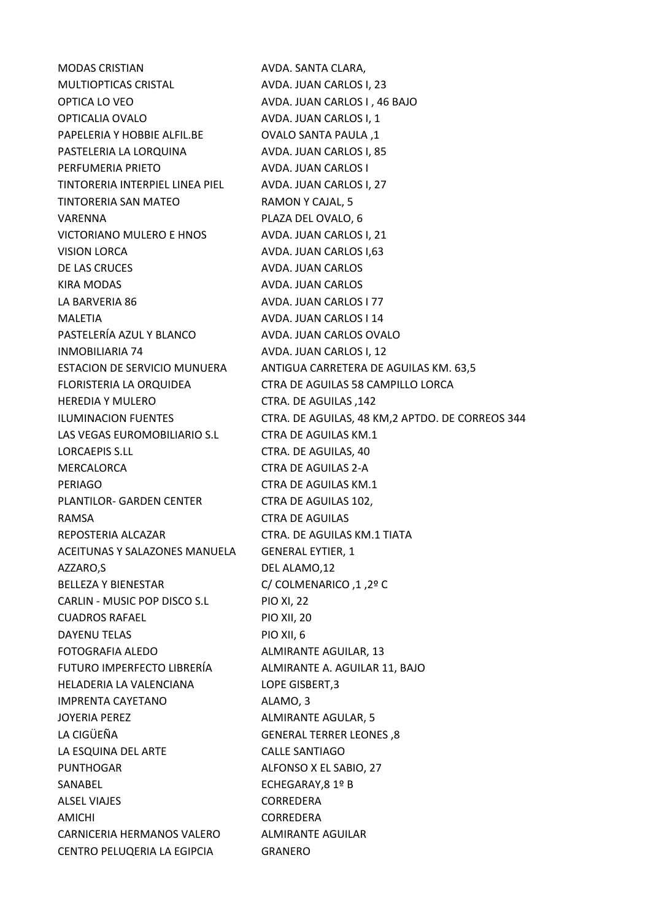MODAS CRISTIAN AVDA. SANTA CLARA, MULTIOPTICAS CRISTAL AVDA. JUAN CARLOS I, 23 OPTICA LO VEO AVDA. JUAN CARLOS I, 46 BAJO OPTICALIA OVALO AVDA. JUAN CARLOS I, 1 PAPELERIA Y HOBBIE ALFIL.BE OVALO SANTA PAULA ,1 PASTELERIA LA LORQUINA AVDA. JUAN CARLOS I, 85 PERFUMERIA PRIETO AVDA. JUAN CARLOS I TINTORERIA INTERPIEL LINEA PIEL AVDA. JUAN CARLOS I, 27 TINTORERIA SAN MATEO RAMON Y CAJAL, 5 VARENNA PLAZA DEL OVALO, 6 VICTORIANO MULERO E HNOS AVDA. JUAN CARLOS I, 21 VISION LORCA AVDA. JUAN CARLOS I.63 DE LAS CRUCES AVDA. JUAN CARLOS KIRA MODAS AVDA. JUAN CARLOS LA BARVERIA 86 AVDA. JUAN CARLOS I 77 MALETIA AVDA. JUAN CARLOS I 14 PASTELERÍA AZUL Y BLANCO AVDA. JUAN CARLOS OVALO INMOBILIARIA 74 AVDA. JUAN CARLOS I, 12 HEREDIA Y MULERO CTRA. DE AGUILAS ,142 LAS VEGAS EUROMOBILIARIO S.L CTRA DE AGUILAS KM.1 LORCAEPIS S.LL CTRA. DE AGUILAS, 40 MERCALORCA CTRA DE AGUILAS 2-A PERIAGO CTRA DE AGUILAS KM.1 PLANTILOR- GARDEN CENTER CTRA DE AGUILAS 102, RAMSA CTRA DE AGUILAS REPOSTERIA ALCAZAR CTRA. DE AGUILAS KM.1 TIATA ACEITUNAS Y SALAZONES MANUELA GENERAL EYTIER, 1 AZZARO,S
BEL ALAMO,12 BELLEZA Y BIENESTAR C/ COLMENARICO ,1 ,2º C CARLIN - MUSIC POP DISCO S.L PIO XI, 22 CUADROS RAFAEL PIO XII, 20 DAYENU TELAS PIO XII, 6 FOTOGRAFIA ALEDO ALMIRANTE AGUILAR, 13 FUTURO IMPERFECTO LIBRERÍA ALMIRANTE A. AGUILAR 11, BAJO HELADERIA LA VALENCIANA LOPE GISBERT,3 IMPRENTA CAYETANO ALAMO, 3 JOYERIA PEREZ ALMIRANTE AGULAR, 5 LA CIGÜEÑA GENERAL TERRER LEONES ,8 LA ESQUINA DEL ARTE CALLE SANTIAGO PUNTHOGAR ALFONSO X EL SABIO, 27 SANABEL ECHEGARAY.8 1º B ALSEL VIAJES CORREDERA AMICHI CORREDERA CARNICERIA HERMANOS VALERO ALMIRANTE AGUILAR CENTRO PELUQERIA LA EGIPCIA GRANERO

ESTACION DE SERVICIO MUNUERA ANTIGUA CARRETERA DE AGUILAS KM. 63,5 FLORISTERIA LA ORQUIDEA CTRA DE AGUILAS 58 CAMPILLO LORCA ILUMINACION FUENTES CTRA. DE AGUILAS, 48 KM,2 APTDO. DE CORREOS 344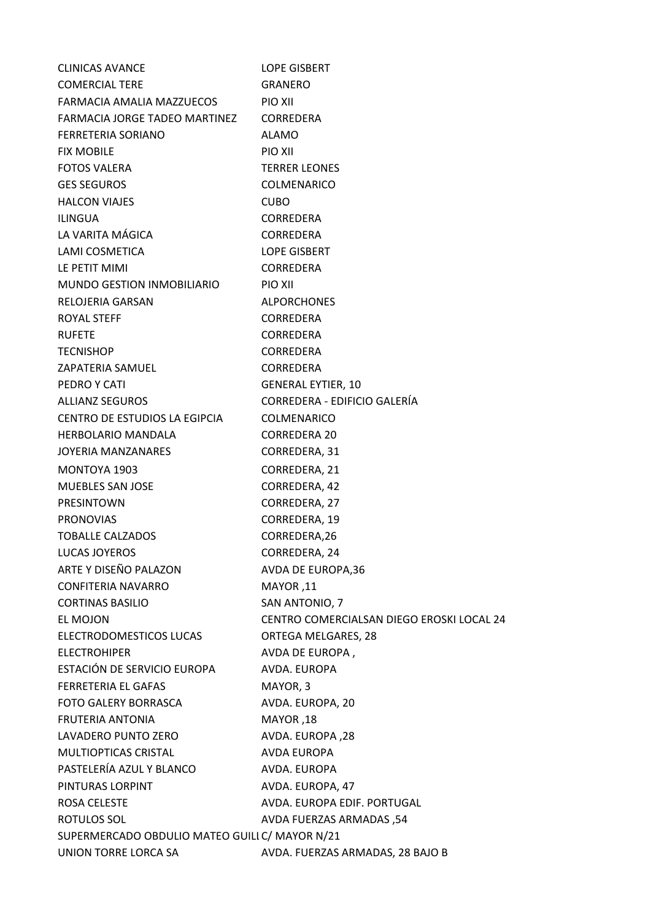| <b>CLINICAS AVANCE</b>                         | <b>LOPE GISBERT</b>                       |  |  |  |
|------------------------------------------------|-------------------------------------------|--|--|--|
| <b>COMERCIAL TERE</b>                          | GRANERO                                   |  |  |  |
| FARMACIA AMALIA MAZZUECOS                      | PIO XII                                   |  |  |  |
| FARMACIA JORGE TADEO MARTINEZ                  | <b>CORREDERA</b>                          |  |  |  |
| <b>FERRETERIA SORIANO</b>                      | <b>ALAMO</b>                              |  |  |  |
| <b>FIX MOBILE</b>                              | PIO XII                                   |  |  |  |
| <b>FOTOS VALERA</b>                            | <b>TERRER LEONES</b>                      |  |  |  |
| <b>GES SEGUROS</b>                             | COLMENARICO                               |  |  |  |
| <b>HALCON VIAJES</b>                           | <b>CUBO</b>                               |  |  |  |
| <b>ILINGUA</b>                                 | <b>CORREDERA</b>                          |  |  |  |
| LA VARITA MÁGICA                               | CORREDERA                                 |  |  |  |
| LAMI COSMETICA                                 | <b>LOPE GISBERT</b>                       |  |  |  |
| LE PETIT MIMI                                  | <b>CORREDERA</b>                          |  |  |  |
| MUNDO GESTION INMOBILIARIO                     | PIO XII                                   |  |  |  |
| RELOJERIA GARSAN                               | <b>ALPORCHONES</b>                        |  |  |  |
| ROYAL STEFF                                    | <b>CORREDERA</b>                          |  |  |  |
| <b>RUFETE</b>                                  | <b>CORREDERA</b>                          |  |  |  |
| <b>TECNISHOP</b>                               | <b>CORREDERA</b>                          |  |  |  |
| ZAPATERIA SAMUEL                               | <b>CORREDERA</b>                          |  |  |  |
| PEDRO Y CATI                                   | <b>GENERAL EYTIER, 10</b>                 |  |  |  |
| <b>ALLIANZ SEGUROS</b>                         | CORREDERA - EDIFICIO GALERÍA              |  |  |  |
| CENTRO DE ESTUDIOS LA EGIPCIA                  | <b>COLMENARICO</b>                        |  |  |  |
| <b>HERBOLARIO MANDALA</b>                      | <b>CORREDERA 20</b>                       |  |  |  |
| JOYERIA MANZANARES                             | CORREDERA, 31                             |  |  |  |
| MONTOYA 1903                                   | CORREDERA, 21                             |  |  |  |
| <b>MUEBLES SAN JOSE</b>                        | CORREDERA, 42                             |  |  |  |
| <b>PRESINTOWN</b>                              | CORREDERA, 27                             |  |  |  |
| <b>PRONOVIAS</b>                               | CORREDERA, 19                             |  |  |  |
| <b>TOBALLE CALZADOS</b>                        | CORREDERA, 26                             |  |  |  |
| LUCAS JOYEROS                                  | CORREDERA, 24                             |  |  |  |
| ARTE Y DISEÑO PALAZON                          | AVDA DE EUROPA,36                         |  |  |  |
|                                                |                                           |  |  |  |
| <b>CONFITERIA NAVARRO</b>                      | MAYOR,11                                  |  |  |  |
| <b>CORTINAS BASILIO</b>                        | SAN ANTONIO, 7                            |  |  |  |
| EL MOJON                                       | CENTRO COMERCIALSAN DIEGO EROSKI LOCAL 24 |  |  |  |
| ELECTRODOMESTICOS LUCAS                        | ORTEGA MELGARES, 28                       |  |  |  |
| <b>ELECTROHIPER</b>                            | AVDA DE EUROPA,                           |  |  |  |
| ESTACIÓN DE SERVICIO EUROPA                    | AVDA. EUROPA                              |  |  |  |
| <b>FERRETERIA EL GAFAS</b>                     | MAYOR, 3                                  |  |  |  |
| <b>FOTO GALERY BORRASCA</b>                    | AVDA. EUROPA, 20                          |  |  |  |
| <b>FRUTERIA ANTONIA</b>                        | MAYOR,18                                  |  |  |  |
| LAVADERO PUNTO ZERO                            | AVDA. EUROPA, 28                          |  |  |  |
| MULTIOPTICAS CRISTAL                           | <b>AVDA EUROPA</b>                        |  |  |  |
| PASTELERÍA AZUL Y BLANCO                       | AVDA. EUROPA                              |  |  |  |
| PINTURAS LORPINT                               | AVDA. EUROPA, 47                          |  |  |  |
| ROSA CELESTE                                   | AVDA. EUROPA EDIF. PORTUGAL               |  |  |  |
| <b>ROTULOS SOL</b>                             | AVDA FUERZAS ARMADAS, 54                  |  |  |  |
| SUPERMERCADO OBDULIO MATEO GUILI C/ MAYOR N/21 |                                           |  |  |  |
| UNION TORRE LORCA SA                           | AVDA. FUERZAS ARMADAS, 28 BAJO B          |  |  |  |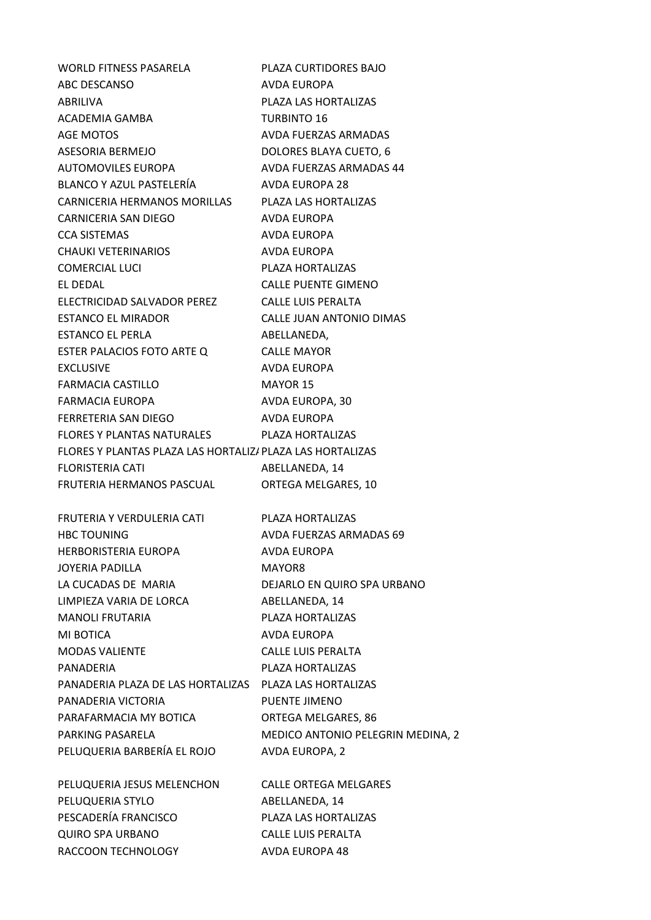WORLD FITNESS PASARELA PLAZA CURTIDORES BAJO ABC DESCANSO AVDA EUROPA ABRILIVA PLAZA LAS HORTALIZAS ACADEMIA GAMBA TURBINTO 16 AGE MOTOS AVDA FUERZAS ARMADAS ASESORIA BERMEJO DOLORES BLAYA CUETO, 6 AUTOMOVILES EUROPA AVDA FUERZAS ARMADAS 44 BLANCO Y AZUL PASTELERÍA AVDA EUROPA 28 CARNICERIA HERMANOS MORILLAS PLAZA LAS HORTALIZAS CARNICERIA SAN DIEGO AVDA EUROPA CCA SISTEMAS AVDA EUROPA CHAUKI VETERINARIOS AVDA EUROPA COMERCIAL LUCI PLAZA HORTALIZAS EL DEDAL CALLE PUENTE GIMENO ELECTRICIDAD SALVADOR PEREZ CALLE LUIS PERALTA ESTANCO EL MIRADOR CALLE JUAN ANTONIO DIMAS ESTANCO EL PERLA ABELLANEDA. ESTER PALACIOS FOTO ARTE Q CALLE MAYOR EXCLUSIVE AVDA EUROPA FARMACIA CASTILLO MAYOR 15 FARMACIA EUROPA AVDA EUROPA, 30 FERRETERIA SAN DIEGO AVDA EUROPA FLORES Y PLANTAS NATURALES PLAZA HORTALIZAS FLORES Y PLANTAS PLAZA LAS HORTALIZAS PLAZA LAS HORTALIZAS FLORISTERIA CATI ABELLANEDA, 14 FRUTERIA HERMANOS PASCUAL ORTEGA MELGARES, 10 FRUTERIA Y VERDULERIA CATI PLAZA HORTALIZAS HBC TOUNING AVDA FUERZAS ARMADAS 69 HERBORISTERIA EUROPA AVDA EUROPA JOYERIA PADILLA MAYOR8 LA CUCADAS DE MARIA DEJARLO EN QUIRO SPA URBANO LIMPIEZA VARIA DE LORCA ABELLANEDA, 14 MANOLI FRUTARIA PLAZA HORTALIZAS MI BOTICA AVDA EUROPA MODAS VALIENTE CALLE LUIS PERALTA PANADERIA PLAZA HORTALIZAS PANADERIA PLAZA DE LAS HORTALIZAS PLAZA LAS HORTALIZAS PANADERIA VICTORIA PUENTE JIMENO PARAFARMACIA MY BOTICA ORTEGA MELGARES, 86 PARKING PASARELA MEDICO ANTONIO PELEGRIN MEDINA, 2 PELUQUERIA BARBERÍA EL ROJO AVDA EUROPA, 2 PELUQUERIA JESUS MELENCHON CALLE ORTEGA MELGARES PELUQUERIA STYLO ABELLANEDA, 14 PESCADERÍA FRANCISCO PLAZA LAS HORTALIZAS QUIRO SPA URBANO CALLE LUIS PERALTA RACCOON TECHNOLOGY AVDA EUROPA 48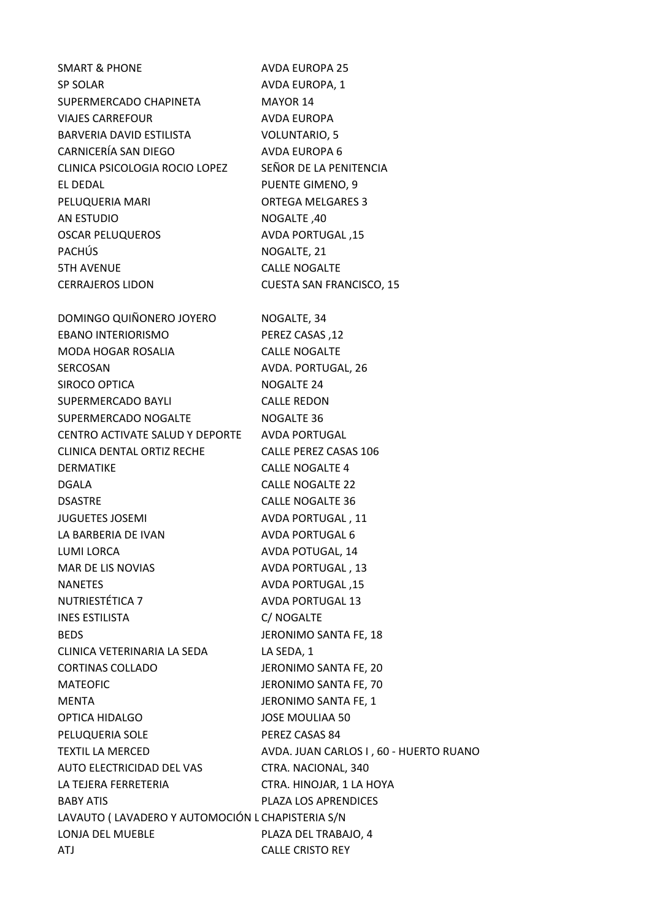| <b>SMART &amp; PHONE</b>                         | <b>AVDA EUROPA 25</b>                  |
|--------------------------------------------------|----------------------------------------|
| SP SOLAR                                         | AVDA EUROPA, 1                         |
| SUPERMERCADO CHAPINETA                           | MAYOR 14                               |
| <b>VIAJES CARREFOUR</b>                          | AVDA EUROPA                            |
| BARVERIA DAVID ESTILISTA                         | <b>VOLUNTARIO, 5</b>                   |
| CARNICERÍA SAN DIEGO                             | <b>AVDA EUROPA 6</b>                   |
| CLINICA PSICOLOGIA ROCIO LOPEZ                   | SEÑOR DE LA PENITENCIA                 |
| EL DEDAL                                         | <b>PUENTE GIMENO, 9</b>                |
| PELUQUERIA MARI                                  | <b>ORTEGA MELGARES 3</b>               |
| <b>AN ESTUDIO</b>                                | NOGALTE, 40                            |
| <b>OSCAR PELUQUEROS</b>                          | AVDA PORTUGAL, 15                      |
| <b>PACHÚS</b>                                    | NOGALTE, 21                            |
| <b>5TH AVENUE</b>                                | <b>CALLE NOGALTE</b>                   |
| <b>CERRAJEROS LIDON</b>                          | <b>CUESTA SAN FRANCISCO, 15</b>        |
|                                                  |                                        |
| DOMINGO QUIÑONERO JOYERO                         | NOGALTE, 34                            |
| <b>EBANO INTERIORISMO</b>                        | PEREZ CASAS, 12                        |
| MODA HOGAR ROSALIA                               | <b>CALLE NOGALTE</b>                   |
| <b>SERCOSAN</b>                                  | AVDA. PORTUGAL, 26                     |
| SIROCO OPTICA                                    | NOGALTE 24                             |
| SUPERMERCADO BAYLI                               | <b>CALLE REDON</b>                     |
| SUPERMERCADO NOGALTE                             | NOGALTE 36                             |
| CENTRO ACTIVATE SALUD Y DEPORTE AVDA PORTUGAL    |                                        |
| <b>CLINICA DENTAL ORTIZ RECHE</b>                | <b>CALLE PEREZ CASAS 106</b>           |
| <b>DERMATIKE</b>                                 | <b>CALLE NOGALTE 4</b>                 |
| <b>DGALA</b>                                     | <b>CALLE NOGALTE 22</b>                |
| <b>DSASTRE</b>                                   | <b>CALLE NOGALTE 36</b>                |
| <b>JUGUETES JOSEMI</b>                           | AVDA PORTUGAL, 11                      |
| LA BARBERIA DE IVAN                              | <b>AVDA PORTUGAL 6</b>                 |
| LUMI LORCA                                       | AVDA POTUGAL, 14                       |
| MAR DE LIS NOVIAS                                | AVDA PORTUGAL, 13                      |
| <b>NANETES</b>                                   | AVDA PORTUGAL, 15                      |
| NUTRIESTÉTICA 7                                  | <b>AVDA PORTUGAL 13</b>                |
| <b>INES ESTILISTA</b>                            | C/ NOGALTE                             |
| <b>BEDS</b>                                      | JERONIMO SANTA FE, 18                  |
| CLINICA VETERINARIA LA SEDA                      | LA SEDA, 1                             |
| <b>CORTINAS COLLADO</b>                          | JERONIMO SANTA FE, 20                  |
| <b>MATEOFIC</b>                                  | JERONIMO SANTA FE, 70                  |
| <b>MENTA</b>                                     | JERONIMO SANTA FE, 1                   |
| <b>OPTICA HIDALGO</b>                            | <b>JOSE MOULIAA 50</b>                 |
| PELUQUERIA SOLE                                  | PEREZ CASAS 84                         |
| <b>TEXTIL LA MERCED</b>                          | AVDA. JUAN CARLOS I, 60 - HUERTO RUANO |
| AUTO ELECTRICIDAD DEL VAS                        | CTRA. NACIONAL, 340                    |
| LA TEJERA FERRETERIA                             | CTRA. HINOJAR, 1 LA HOYA               |
| <b>BABY ATIS</b>                                 | PLAZA LOS APRENDICES                   |
| LAVAUTO (LAVADERO Y AUTOMOCIÓN L CHAPISTERIA S/N |                                        |
| LONJA DEL MUEBLE                                 | PLAZA DEL TRABAJO, 4                   |
| ATJ                                              | CALLE CRISTO REY                       |
|                                                  |                                        |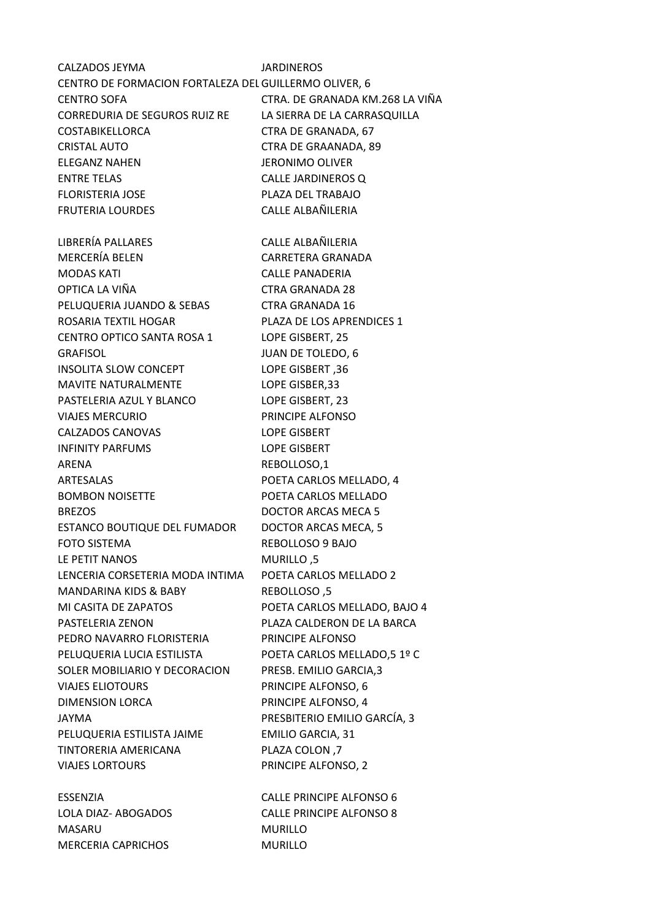CALZADOS JEYMA JARDINEROS CENTRO DE FORMACION FORTALEZA DEL SOL GUILLERMO OLIVER, 6 CENTRO SOFA CTRA. DE GRANADA KM.268 LA VIÑA CORREDURIA DE SEGUROS RUIZ RE LA SIERRA DE LA CARRASQUILLA COSTABIKELLORCA CTRA DE GRANADA, 67 CRISTAL AUTO CTRA DE GRAANADA, 89 ELEGANZ NAHEN JERONIMO OLIVER ENTRE TELAS CALLE JARDINEROS Q FLORISTERIA JOSE PLAZA DEL TRABAJO FRUTERIA LOURDES CALLE ALBAÑILERIA LIBRERÍA PALLARES CALLE ALBAÑILERIA MERCERÍA BELEN CARRETERA GRANADA MODAS KATI CALLE PANADERIA OPTICA LA VIÑA CTRA GRANADA 28 PELUQUERIA JUANDO & SEBAS CTRA GRANADA 16 ROSARIA TEXTIL HOGAR PLAZA DE LOS APRENDICES 1 CENTRO OPTICO SANTA ROSA 1 LOPE GISBERT, 25 GRAFISOL JUAN DE TOLEDO, 6 INSOLITA SLOW CONCEPT LOPE GISBERT ,36 MAVITE NATURALMENTE LOPE GISBER, 33 PASTELERIA AZUL Y BLANCO LOPE GISBERT, 23 VIAJES MERCURIO PRINCIPE ALFONSO CALZADOS CANOVAS LOPE GISBERT INFINITY PARFUMS LOPE GISBERT ARENA REBOLLOSO,1 ARTESALAS POETA CARLOS MELLADO, 4 BOMBON NOISETTE POETA CARLOS MELLADO BREZOS DOCTOR ARCAS MECA 5 ESTANCO BOUTIQUE DEL FUMADOR DOCTOR ARCAS MECA, 5 FOTO SISTEMA REBOLLOSO 9 BAJO LE PETIT NANOS MURILLO ,5 LENCERIA CORSETERIA MODA INTIMA POETA CARLOS MELLADO 2 MANDARINA KIDS & BABY REBOLLOSO, 5 MI CASITA DE ZAPATOS POETA CARLOS MELLADO, BAJO 4 PASTELERIA ZENON PLAZA CALDERON DE LA BARCA PEDRO NAVARRO FLORISTERIA PRINCIPE ALFONSO PELUQUERIA LUCIA ESTILISTA POETA CARLOS MELLADO,5 1º C SOLER MOBILIARIO Y DECORACION PRESB. EMILIO GARCIA,3 VIAJES ELIOTOURS PRINCIPE ALFONSO, 6 DIMENSION LORCA PRINCIPE ALFONSO, 4 JAYMA PRESBITERIO EMILIO GARCÍA, 3 PELUQUERIA ESTILISTA JAIME EMILIO GARCIA, 31 TINTORERIA AMERICANA PLAZA COLON ,7 VIAJES LORTOURS PRINCIPE ALFONSO, 2 ESSENZIA CALLE PRINCIPE ALFONSO 6 LOLA DIAZ- ABOGADOS CALLE PRINCIPE ALFONSO 8 MASARU MURILLO MERCERIA CAPRICHOS MURILLO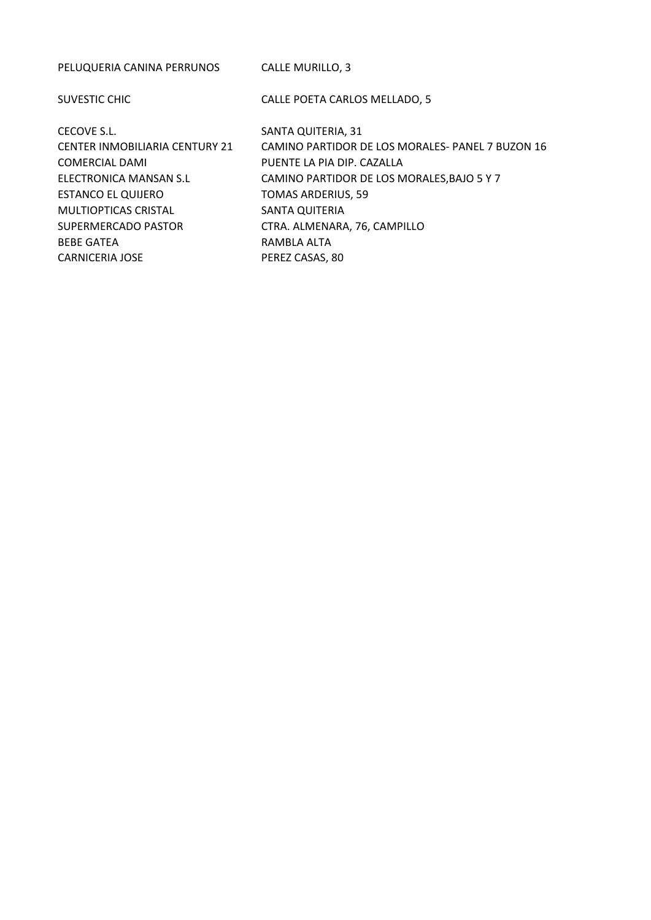PELUQUERIA CANINA PERRUNOS CALLE MURILLO, 3 SUVESTIC CHIC CONTROLLERTY CALLE POETA CARLOS MELLADO, 5 CECOVE S.L. SANTA QUITERIA, 31 CENTER INMOBILIARIA CENTURY 21 CAMINO PARTIDOR DE LOS MORALES- PANEL 7 BUZON 16 COMERCIAL DAMI PUENTE LA PIA DIP. CAZALLA ELECTRONICA MANSAN S.L CAMINO PARTIDOR DE LOS MORALES,BAJO 5 Y 7 ESTANCO EL QUIJERO TOMAS ARDERIUS, 59 MULTIOPTICAS CRISTAL SANTA QUITERIA SUPERMERCADO PASTOR CTRA. ALMENARA, 76, CAMPILLO BEBE GATEA **RAMBLA ALTA** CARNICERIA JOSE PEREZ CASAS, 80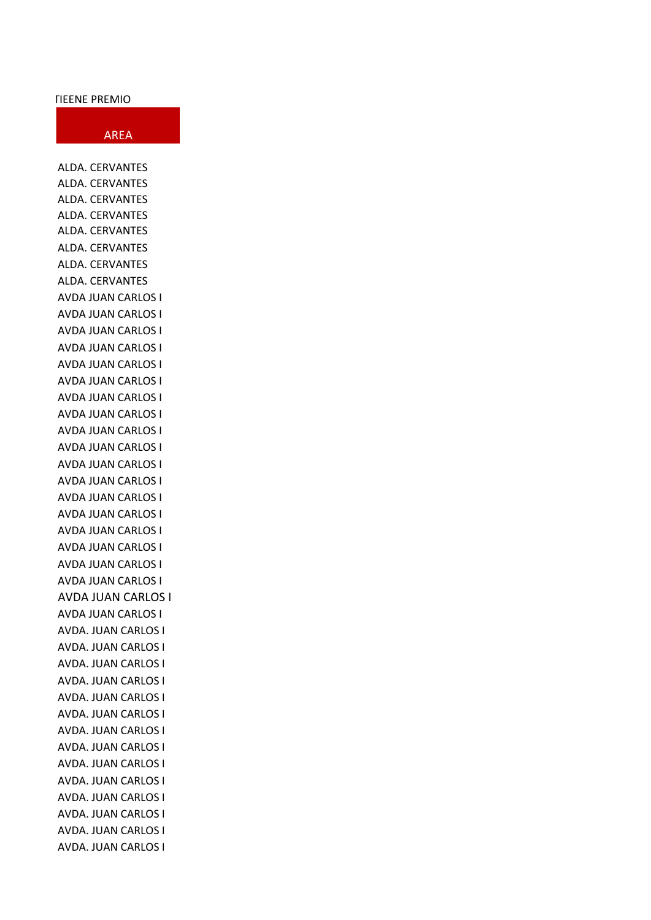## **TIEENE PREMIO**

## AREA

ALDA. CERVANTES ALDA. CERVANTES ALDA. CERVANTES ALDA. CERVANTES ALDA. CERVANTES ALDA. CERVANTES ALDA. CERVANTES ALDA. CERVANTES AVDA JUAN CARLOS I AVDA JUAN CARLOS I AVDA JUAN CARLOS I AVDA JUAN CARLOS I AVDA JUAN CARLOS I AVDA JUAN CARLOS I AVDA JUAN CARLOS I AVDA JUAN CARLOS I AVDA JUAN CARLOS I AVDA JUAN CARLOS I AVDA JUAN CARLOS I AVDA JUAN CARLOS I AVDA JUAN CARLOS I AVDA JUAN CARLOS I AVDA JUAN CARLOS I AVDA JUAN CARLOS I AVDA JUAN CARLOS I AVDA JUAN CARLOS I AVDA JUAN CARLOS I AVDA JUAN CARLOS I AVDA. JUAN CARLOS I AVDA. JUAN CARLOS I AVDA. JUAN CARLOS I AVDA. JUAN CARLOS I AVDA. JUAN CARLOS I AVDA. JUAN CARLOS I AVDA. JUAN CARLOS I AVDA. JUAN CARLOS I AVDA. JUAN CARLOS I AVDA. JUAN CARLOS I AVDA. JUAN CARLOS I AVDA. JUAN CARLOS I AVDA. JUAN CARLOS I AVDA. JUAN CARLOS I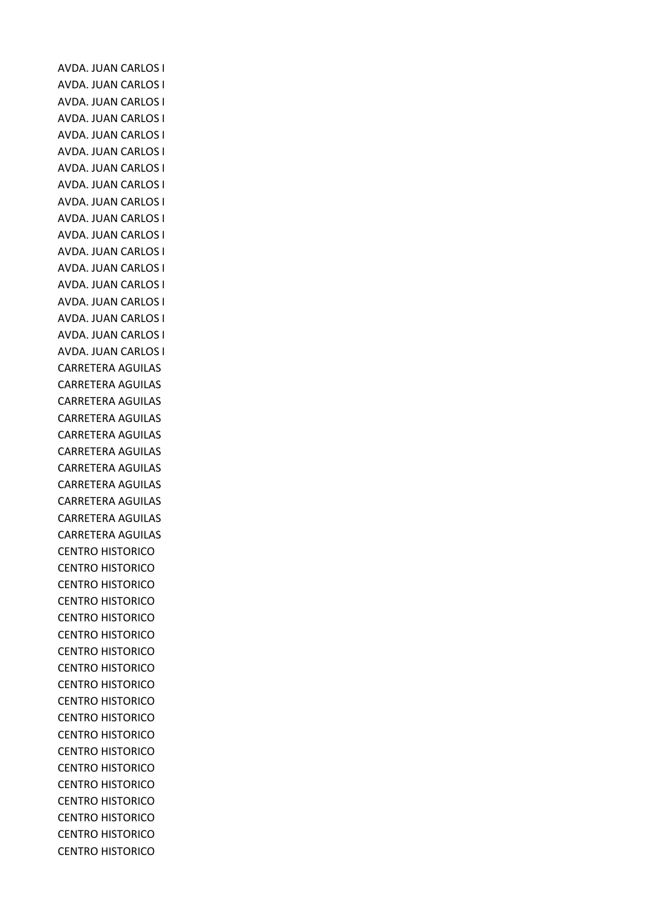AVDA. JUAN CARLOS I AVDA. JUAN CARLOS I AVDA. JUAN CARLOS I AVDA. JUAN CARLOS I AVDA. JUAN CARLOS I AVDA. JUAN CARLOS I AVDA. JUAN CARLOS I AVDA. JUAN CARLOS I AVDA. JUAN CARLOS I AVDA. JUAN CARLOS I AVDA. JUAN CARLOS I AVDA. JUAN CARLOS I AVDA. JUAN CARLOS I AVDA. JUAN CARLOS I AVDA. JUAN CARLOS I AVDA. JUAN CARLOS I AVDA. JUAN CARLOS I AVDA. JUAN CARLOS I CARRETERA AGUILAS CARRETERA AGUILAS CARRETERA AGUILAS CARRETERA AGUILAS CARRETERA AGUILAS CARRETERA AGUILAS CARRETERA AGUILAS CARRETERA AGUILAS CARRETERA AGUILAS CARRETERA AGUILAS CARRETERA AGUILAS CENTRO HISTORICO CENTRO HISTORICO CENTRO HISTORICO CENTRO HISTORICO CENTRO HISTORICO CENTRO HISTORICO CENTRO HISTORICO CENTRO HISTORICO CENTRO HISTORICO CENTRO HISTORICO CENTRO HISTORICO CENTRO HISTORICO CENTRO HISTORICO CENTRO HISTORICO CENTRO HISTORICO CENTRO HISTORICO CENTRO HISTORICO CENTRO HISTORICO CENTRO HISTORICO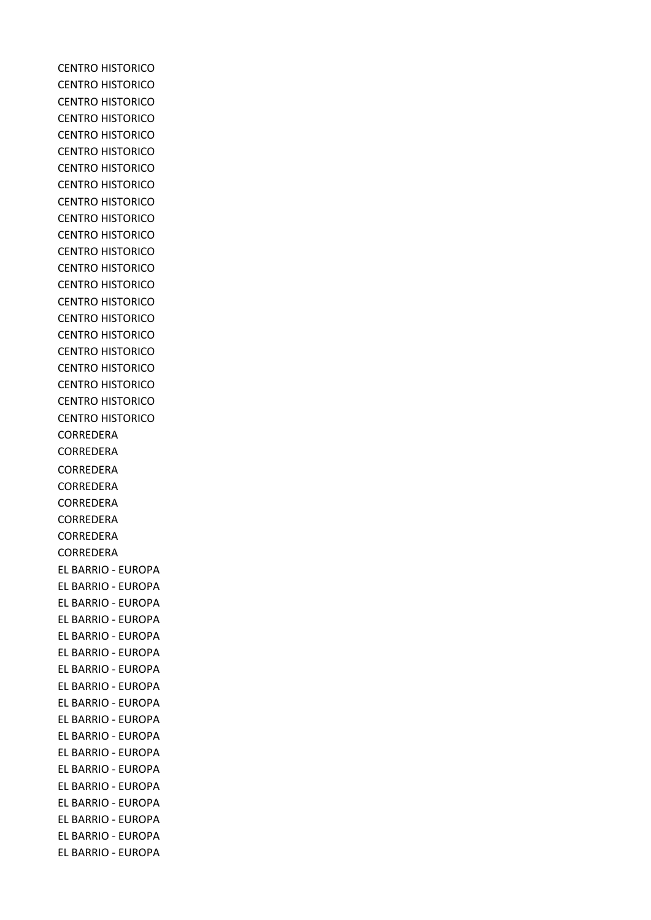CENTRO HISTORICO CENTRO HISTORICO CENTRO HISTORICO CENTRO HISTORICO CENTRO HISTORICO CENTRO HISTORICO CENTRO HISTORICO CENTRO HISTORICO CENTRO HISTORICO CENTRO HISTORICO CENTRO HISTORICO CENTRO HISTORICO CENTRO HISTORICO CENTRO HISTORICO CENTRO HISTORICO CENTRO HISTORICO CENTRO HISTORICO CENTRO HISTORICO CENTRO HISTORICO CENTRO HISTORICO CENTRO HISTORICO CENTRO HISTORICO CORREDERA CORREDERA CORREDERA CORREDERA CORREDERA CORREDERA CORREDERA CORREDERA EL BARRIO - EUROPA EL BARRIO - EUROPA EL BARRIO - EUROPA EL BARRIO - EUROPA EL BARRIO - EUROPA EL BARRIO - EUROPA EL BARRIO - EUROPA EL BARRIO - EUROPA EL BARRIO - EUROPA EL BARRIO - EUROPA EL BARRIO - EUROPA EL BARRIO - EUROPA EL BARRIO - EUROPA EL BARRIO - EUROPA EL BARRIO - EUROPA EL BARRIO - EUROPA EL BARRIO - EUROPA EL BARRIO - EUROPA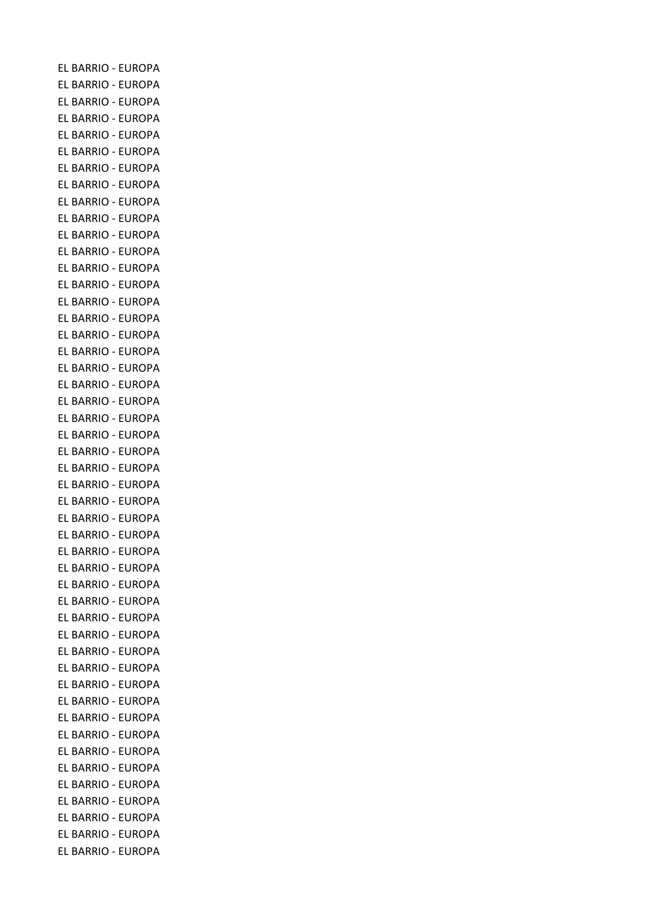EL BARRIO - EUROPA EL BARRIO - EUROPA EL BARRIO - EUROPA EL BARRIO - EUROPA EL BARRIO - EUROPA EL BARRIO - EUROPA EL BARRIO - EUROPA EL BARRIO - EUROPA EL BARRIO - EUROPA EL BARRIO - EUROPA EL BARRIO - EUROPA EL BARRIO - EUROPA EL BARRIO - EUROPA EL BARRIO - EUROPA EL BARRIO - EUROPA EL BARRIO - EUROPA EL BARRIO - EUROPA EL BARRIO - EUROPA EL BARRIO - EUROPA EL BARRIO - EUROPA EL BARRIO - EUROPA EL BARRIO - EUROPA EL BARRIO - EUROPA EL BARRIO - EUROPA EL BARRIO - EUROPA EL BARRIO - EUROPA EL BARRIO - EUROPA EL BARRIO - EUROPA EL BARRIO - EUROPA EL BARRIO - EUROPA EL BARRIO - EUROPA EL BARRIO - EUROPA EL BARRIO - EUROPA EL BARRIO - EUROPA EL BARRIO - EUROPA EL BARRIO - EUROPA EL BARRIO - EUROPA EL BARRIO - EUROPA EL BARRIO - EUROPA EL BARRIO - EUROPA EL BARRIO - EUROPA EL BARRIO - EUROPA EL BARRIO - EUROPA EL BARRIO - EUROPA EL BARRIO - EUROPA EL BARRIO - EUROPA EL BARRIO - EUROPA EL BARRIO - EUROPA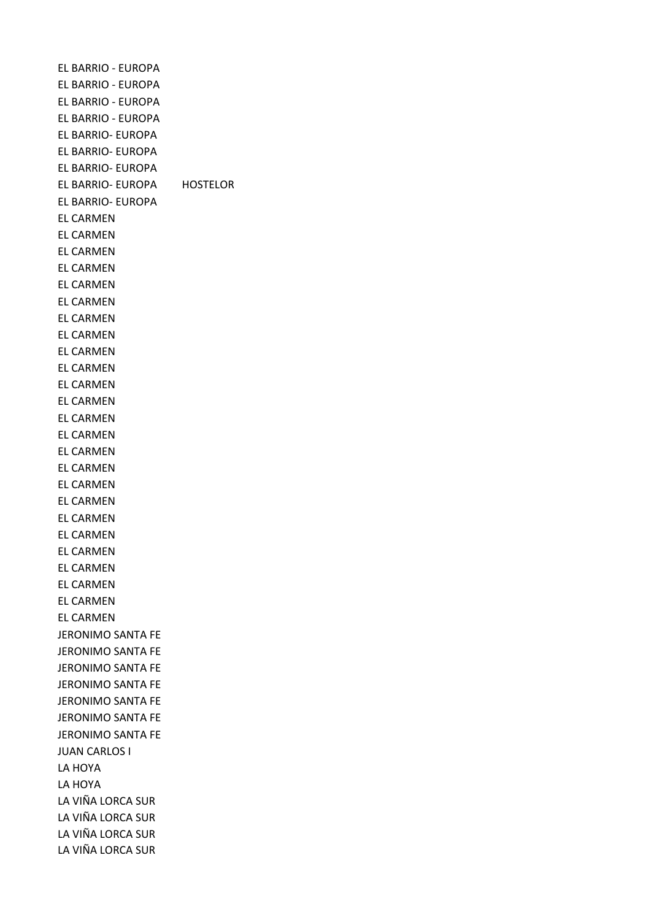EL BARRIO - EUROPA EL BARRIO - EUROPA EL BARRIO - EUROPA EL BARRIO - EUROPA EL BARRIO- EUROPA EL BARRIO- EUROPA EL BARRIO- EUROPA EL BARRIO- EUROPA HOSTELOR EL BARRIO- EUROPA EL CARMEN EL CARMEN EL CARMEN EL CARMEN EL CARMEN EL CARMEN EL CARMEN EL CARMEN EL CARMEN EL CARMEN EL CARMEN EL CARMEN EL CARMEN EL CARMEN EL CARMEN EL CARMEN EL CARMEN EL CARMEN EL CARMEN EL CARMEN EL CARMEN EL CARMEN EL CARMEN EL CARMEN EL CARMEN JERONIMO SANTA FE JERONIMO SANTA FE JERONIMO SANTA FE JERONIMO SANTA FE JERONIMO SANTA FE JERONIMO SANTA FE JERONIMO SANTA FE JUAN CARLOS I LA HOYA LA HOYA LA VIÑA LORCA SUR LA VIÑA LORCA SUR LA VIÑA LORCA SUR LA VIÑA LORCA SUR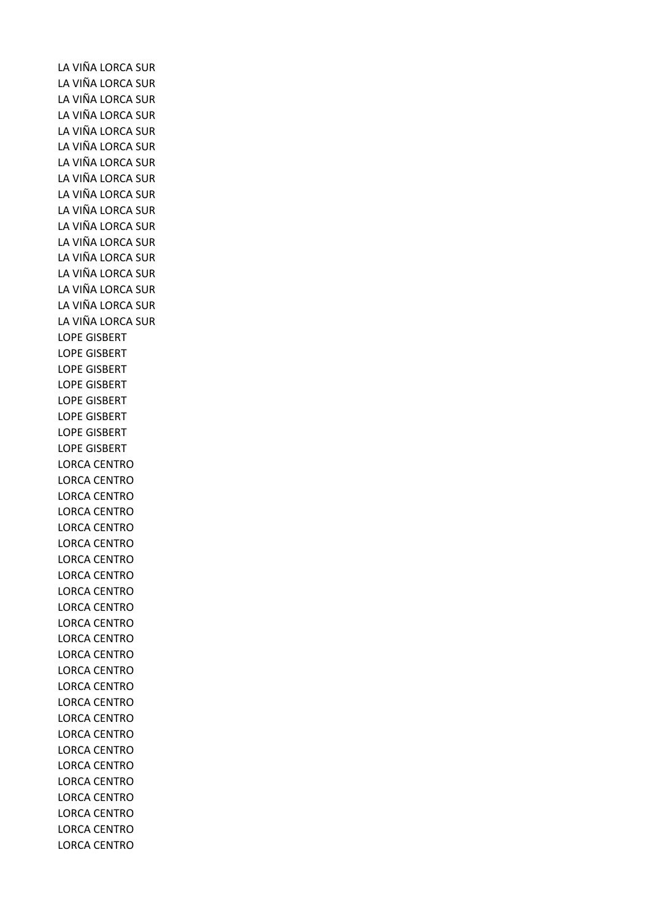LA VIÑA LORCA SUR LA VIÑA LORCA SUR LA VIÑA LORCA SUR LA VIÑA LORCA SUR LA VIÑA LORCA SUR LA VIÑA LORCA SUR LA VIÑA LORCA SUR LA VIÑA LORCA SUR LA VIÑA LORCA SUR LA VIÑA LORCA SUR LA VIÑA LORCA SUR LA VIÑA LORCA SUR LA VIÑA LORCA SUR LA VIÑA LORCA SUR LA VIÑA LORCA SUR LA VIÑA LORCA SUR LA VIÑA LORCA SUR LOPE GISBERT LOPE GISBERT LOPE GISBERT LOPE GISBERT LOPE GISBERT LOPE GISBERT LOPE GISBERT LOPE GISBERT LORCA CENTRO LORCA CENTRO LORCA CENTRO LORCA CENTRO LORCA CENTRO LORCA CENTRO LORCA CENTRO LORCA CENTRO LORCA CENTRO LORCA CENTRO LORCA CENTRO LORCA CENTRO LORCA CENTRO LORCA CENTRO LORCA CENTRO LORCA CENTRO LORCA CENTRO LORCA CENTRO LORCA CENTRO LORCA CENTRO LORCA CENTRO LORCA CENTRO LORCA CENTRO LORCA CENTRO LORCA CENTRO